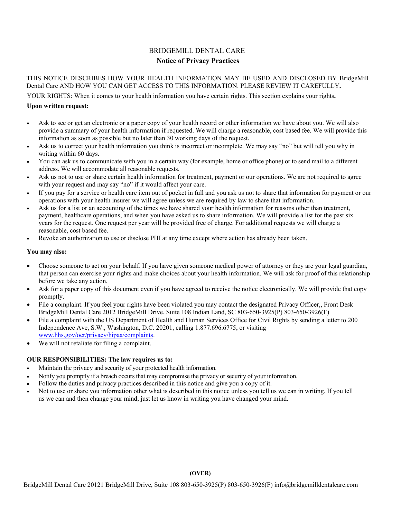# BRIDGEMILL DENTAL CARE **Notice of Privacy Practices**

THIS NOTICE DESCRIBES HOW YOUR HEALTH INFORMATION MAY BE USED AND DISCLOSED BY BridgeMill Dental Care AND HOW YOU CAN GET ACCESS TO THIS INFORMATION. PLEASE REVIEW IT CAREFULLY**.** 

YOUR RIGHTS: When it comes to your health information you have certain rights. This section explains your rights**.** 

## **Upon written request:**

- Ask to see or get an electronic or a paper copy of your health record or other information we have about you. We will also provide a summary of your health information if requested. We will charge a reasonable, cost based fee. We will provide this information as soon as possible but no later than 30 working days of the request.
- Ask us to correct your health information you think is incorrect or incomplete. We may say "no" but will tell you why in writing within 60 days.
- You can ask us to communicate with you in a certain way (for example, home or office phone) or to send mail to a different address. We will accommodate all reasonable requests.
- Ask us not to use or share certain health information for treatment, payment or our operations. We are not required to agree with your request and may say "no" if it would affect your care.
- If you pay for a service or health care item out of pocket in full and you ask us not to share that information for payment or our operations with your health insurer we will agree unless we are required by law to share that information.
- Ask us for a list or an accounting of the times we have shared your health information for reasons other than treatment, payment, healthcare operations, and when you have asked us to share information. We will provide a list for the past six years for the request. One request per year will be provided free of charge. For additional requests we will charge a reasonable, cost based fee.
- Revoke an authorization to use or disclose PHI at any time except where action has already been taken.

### **You may also:**

- Choose someone to act on your behalf. If you have given someone medical power of attorney or they are your legal guardian, that person can exercise your rights and make choices about your health information. We will ask for proof of this relationship before we take any action.
- Ask for a paper copy of this document even if you have agreed to receive the notice electronically. We will provide that copy promptly.
- File a complaint. If you feel your rights have been violated you may contact the designated Privacy Officer,, Front Desk BridgeMill Dental Care 2012 BridgeMill Drive, Suite 108 Indian Land, SC 803-650-3925(P) 803-650-3926(F)
- File a complaint with the US Department of Health and Human Services Office for Civil Rights by sending a letter to 200 Independence Ave, S.W., Washington, D.C. 20201, calling 1.877.696.6775, or visiting www.hhs.gov/ocr/privacy/hipaa/complaints.
- We will not retaliate for filing a complaint.

## **OUR RESPONSIBILITIES: The law requires us to:**

- Maintain the privacy and security of your protected health information.
- Notify you promptly if a breach occurs that may compromise the privacy or security of your information.
- Follow the duties and privacy practices described in this notice and give you a copy of it.
- Not to use or share you information other what is described in this notice unless you tell us we can in writing. If you tell us we can and then change your mind, just let us know in writing you have changed your mind.

## **(OVER)**